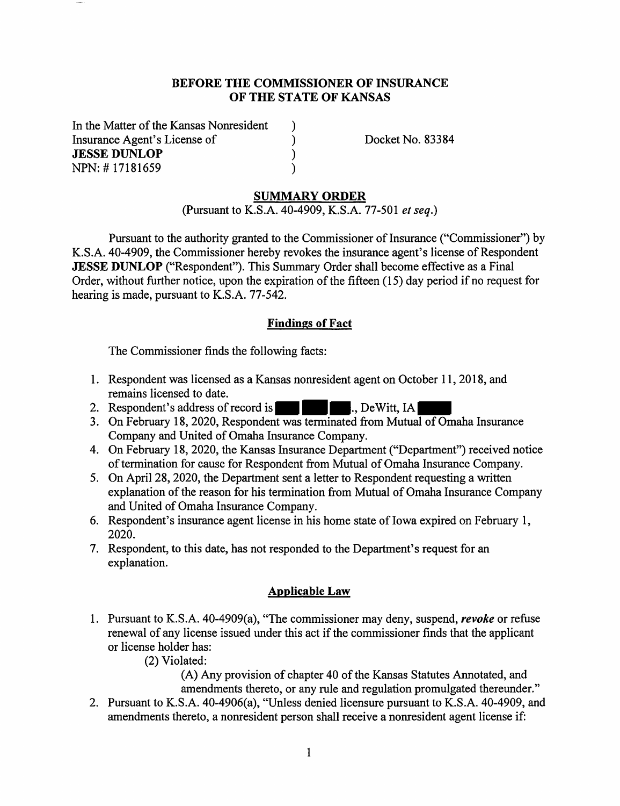#### **BEFORE THE COMMISSIONER OF INSURANCE OF THE STATE OF KANSAS**

) )  $\overline{\mathbf{)}$ )

In the Matter of the Kansas Nonresident Insurance Agent's License of **JESSE DUNLOP**  NPN: # 17181659

Docket No. 83384

### **SUMMARY ORDER**

(Pursuant to K.S.A. 40-4909, K.S.A. 77-501 *et seq.)* 

Pursuant to the authority granted to the Commissioner of Insurance ("Commissioner") by K.S.A. 40-4909, the Commissioner hereby revokes the insurance agent's license of Respondent **JESSE DUNLOP** ("Respondent"). This Summary Order shall become effective as a Final Order, without further notice, upon the expiration of the fifteen (15) day period if no request for hearing is made, pursuant to K.S.A. 77-542.

## **Findings of Fact**

The Commissioner finds the following facts:

- 1. Respondent was licensed as a Kansas nonresident agent on October 11, 2018, and remains licensed to date.
- 2. Respondent's address of record is **1996**., DeWitt, IA
- 3. On February 18, 2020, Respondent was terminated from Mutual of Omaha Insurance Company and United of Omaha Insurance Company.
- 4. On February 18, 2020, the Kansas Insurance Department ("Department") received notice of termination for cause for Respondent from Mutual of Omaha Insurance Company.
- 5. On April 28, 2020, the Department sent a letter to Respondent requesting a written explanation of the reason for his termination from Mutual of Omaha Insurance Company and United of Omaha Insurance Company.
- 6. Respondent's insurance agent license in his home state of Iowa expired on February 1, 2020.
- 7. Respondent, to this date, has not responded to the Department's request for an explanation.

# **Applicable Law**

- 1. Pursuant to K.S.A. 40-4909(a), "The commissioner may deny, suspend, *revoke* or refuse renewal of any license issued under this act if the commissioner finds that the applicant or license holder has:
	- (2) Violated:

(A) Any provision of chapter 40 of the Kansas Statutes Annotated, and amendments thereto, or any rule and regulation promulgated thereunder."

2. Pursuant to K.S.A. 40-4906(a), "Unless denied licensure pursuant to K.S.A. 40-4909, and amendments thereto, a nonresident person shall receive a nonresident agent license if: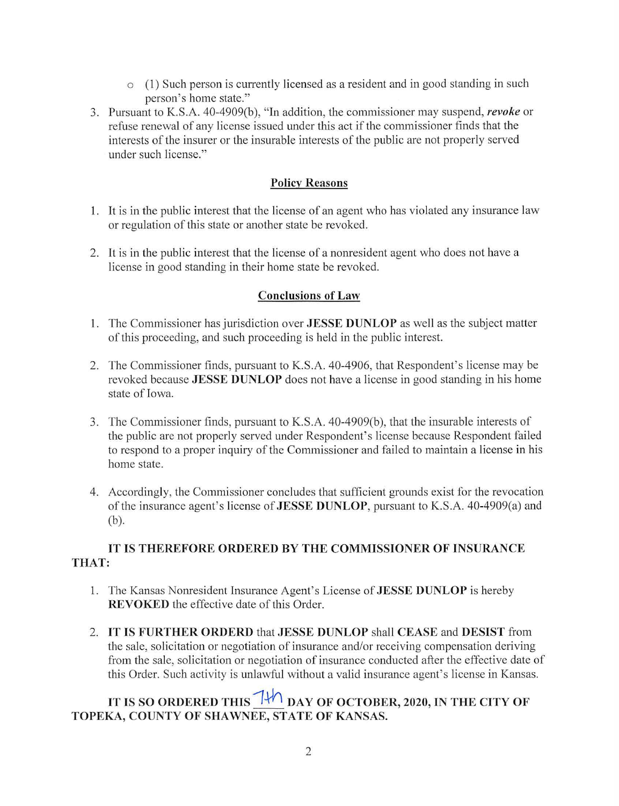- o **(1)** Such person is currently licensed as a resident and in good standing in such person's home state."
- 3. Pursuant to K.S.A. 40-4909(b), "In addition, the commissioner may suspend, *revoke* or refuse renewal of any license issued under this act if the commissioner finds that the interests of the insurer or the insurable interests of the public are not properly served under such license."

### **Policy Reasons**

- 1. It is in the public interest that the license of an agent who has violated any insurance law or regulation of this state or another state be revoked.
- 2. It is in the public interest that the license of a nonresident agent who does not have a license in good standing **in** their home state be revoked.

#### **Conclusions of Law**

- **1.** The Commissioner has jurisdiction over **JESSE DUNLOP** as well as the subject matter of this proceeding, and such proceeding is held in the public interest.
- 2. The Commissioner finds, pursuant to K.S.A. 40-4906, that Respondent's license may be revoked because **JESSE DUNLOP** does not have a license in good standing in his home state of Iowa.
- 3. The Commissioner finds, pursuant to K.S.A. 40-4909(b), that the insurable interests of the public are not properly served under Respondent's license because Respondent failed to respond to a proper inquiry of the Commissioner and failed to maintain a license in his home state.
- 4. Accordingly, the Commissioner concludes that sufficient grounds exist for the revocation of the insurance agent's license of **JESSE DUNLOP,** pursuant to K.S.A. 40-4909(a) and (b).

# **IT IS THEREFORE ORDERED BY THE COMMISSIONER OF INSURANCE THAT:**

- 1. The Kansas Nonresident Insurance Agent's License of **JESSE DUNLOP** is hereby **REVOKED** the effective date of this Order.
- 2. **IT IS FURTHER ORDERD** that **JESSE DUNLOP** shall **CEASE and DESIST** from the sale, solicitation or negotiation of insurance and/or receiving compensation deriving from the sale, solicitation or negotiation of insurance conducted after the effective date of this Order. Such activity is unlawful without a valid insurance agent's license in Kansas.

# IT IS SO ORDERED THIS  $7\frac{1}{\sqrt{1}}$  DAY OF OCTOBER, 2020, IN THE CITY OF **TOPEKA, COUNTY OF SHAWNEE, STATE OF KANSAS.**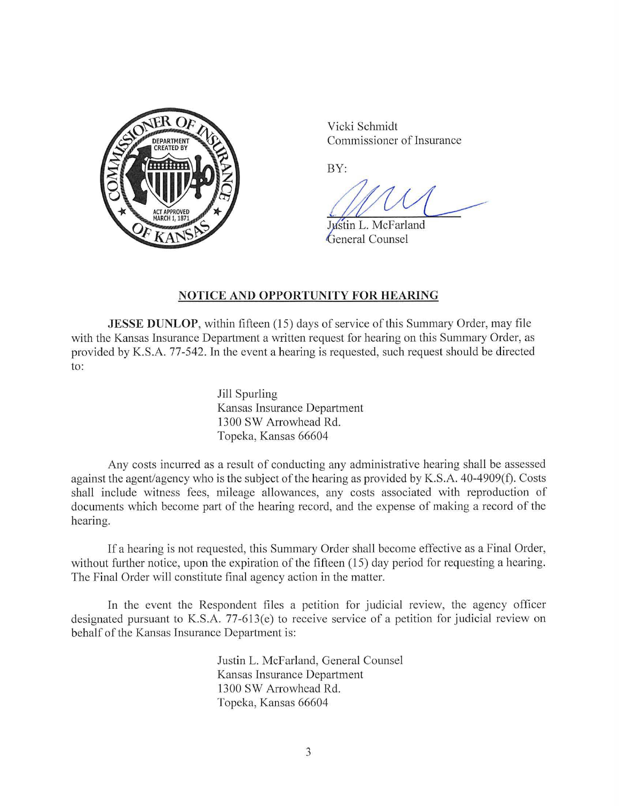

Vicki Schmidt Commissioner of Insurance

BY:

Justin L. McFarland General Counsel

## **NOTICE AND OPPORTUNITY FOR HEARING**

**JESSE DUNLOP**, within fifteen (15) days of service of this Summary Order, may file with the Kansas Insurance Department a written request for hearing on this Summary Order, as provided by K.S.A. 77-542. In the event a hearing is requested, such request should be directed to:

> Jill Spurling Kansas Insurance Department 1300 SW Arrowhead Rel. Topeka, Kansas 66604

Any costs incurred as a result of conducting any administrative hearing shall be assessed against the agent/agency who is the subject of the hearing as provided by K.S.A. 40-4909(f). Costs shall include witness fees, mileage allowances, any costs associated with reproduction of documents which become part of the hearing record, and the expense of making a record of the hearing.

If a hearing is not requested, this Summary Order shall become effective as a Final Order, without further notice, upon the expiration of the fifteen  $(15)$  day period for requesting a hearing. The Final Order will constitute final agency action in the matter.

In the event the Respondent files a petition for judicial review, the agency officer designated pursuant to K.S.A. 77-613(e) to receive service of a petition for judicial review on behalf of the Kansas Insurance Department is:

> Justin L. McFarland, General Counsel Kansas Insurance Department 1300 SW Arrowhead Rd. Topeka, Kansas 66604